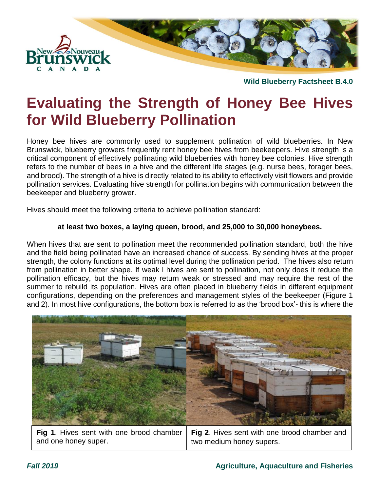

# **Evaluating the Strength of Honey Bee Hives for Wild Blueberry Pollination**

Honey bee hives are commonly used to supplement pollination of wild blueberries. In New Brunswick, blueberry growers frequently rent honey bee hives from beekeepers. Hive strength is a critical component of effectively pollinating wild blueberries with honey bee colonies. Hive strength refers to the number of bees in a hive and the different life stages (e.g. nurse bees, forager bees, and brood). The strength of a hive is directly related to its ability to effectively visit flowers and provide pollination services. Evaluating hive strength for pollination begins with communication between the beekeeper and blueberry grower.

Hives should meet the following criteria to achieve pollination standard:

#### **at least two boxes, a laying queen, brood, and 25,000 to 30,000 honeybees.**

When hives that are sent to pollination meet the recommended pollination standard, both the hive and the field being pollinated have an increased chance of success. By sending hives at the proper strength, the colony functions at its optimal level during the pollination period. The hives also return from pollination in better shape. If weak l hives are sent to pollination, not only does it reduce the pollination efficacy, but the hives may return weak or stressed and may require the rest of the summer to rebuild its population. Hives are often placed in blueberry fields in different equipment configurations, depending on the preferences and management styles of the beekeeper (Figure 1 and 2). In most hive configurations, the bottom box is referred to as the 'brood box'- this is where the



|                      | Fig 1. Hives sent with one brood chamber   Fig 2. Hives sent with one brood chamber and |
|----------------------|-----------------------------------------------------------------------------------------|
| and one honey super. | two medium honey supers.                                                                |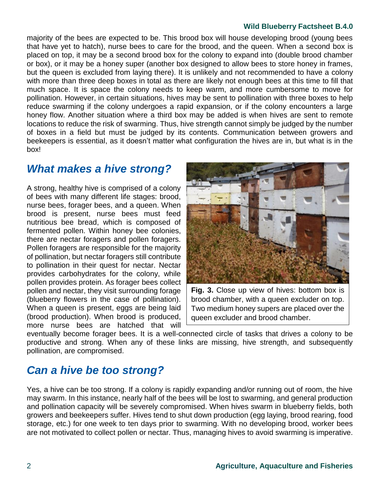majority of the bees are expected to be. This brood box will house developing brood (young bees that have yet to hatch), nurse bees to care for the brood, and the queen. When a second box is placed on top, it may be a second brood box for the colony to expand into (double brood chamber or box), or it may be a honey super (another box designed to allow bees to store honey in frames, but the queen is excluded from laying there). It is unlikely and not recommended to have a colony with more than three deep boxes in total as there are likely not enough bees at this time to fill that much space. It is space the colony needs to keep warm, and more cumbersome to move for pollination. However, in certain situations, hives may be sent to pollination with three boxes to help reduce swarming if the colony undergoes a rapid expansion, or if the colony encounters a large honey flow. Another situation where a third box may be added is when hives are sent to remote locations to reduce the risk of swarming. Thus, hive strength cannot simply be judged by the number of boxes in a field but must be judged by its contents. Communication between growers and beekeepers is essential, as it doesn't matter what configuration the hives are in, but what is in the box!

### *What makes a hive strong?*

A strong, healthy hive is comprised of a colony of bees with many different life stages: brood, nurse bees, forager bees, and a queen. When brood is present, nurse bees must feed nutritious bee bread, which is composed of fermented pollen. Within honey bee colonies, there are nectar foragers and pollen foragers. Pollen foragers are responsible for the majority of pollination, but nectar foragers still contribute to pollination in their quest for nectar. Nectar provides carbohydrates for the colony, while pollen provides protein. As forager bees collect pollen and nectar, they visit surrounding forage (blueberry flowers in the case of pollination). When a queen is present, eggs are being laid (brood production). When brood is produced, more nurse bees are hatched that will



**Fig. 3.** Close up view of hives: bottom box is brood chamber, with a queen excluder on top. Two medium honey supers are placed over the queen excluder and brood chamber.

eventually become forager bees. It is a well-connected circle of tasks that drives a colony to be productive and strong. When any of these links are missing, hive strength, and subsequently pollination, are compromised.

## *Can a hive be too strong?*

Yes, a hive can be too strong. If a colony is rapidly expanding and/or running out of room, the hive may swarm. In this instance, nearly half of the bees will be lost to swarming, and general production and pollination capacity will be severely compromised. When hives swarm in blueberry fields, both growers and beekeepers suffer. Hives tend to shut down production (egg laying, brood rearing, food storage, etc.) for one week to ten days prior to swarming. With no developing brood, worker bees are not motivated to collect pollen or nectar. Thus, managing hives to avoid swarming is imperative.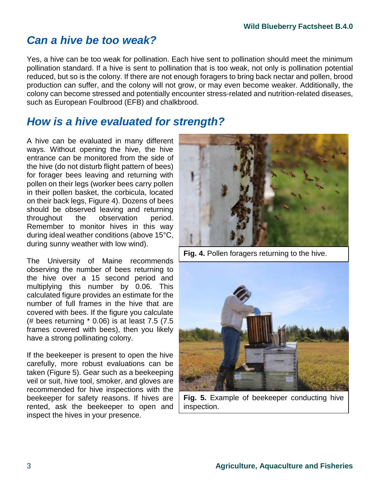## *Can a hive be too weak?*

Yes, a hive can be too weak for pollination. Each hive sent to pollination should meet the minimum pollination standard. If a hive is sent to pollination that is too weak, not only is pollination potential reduced, but so is the colony. If there are not enough foragers to bring back nectar and pollen, brood production can suffer, and the colony will not grow, or may even become weaker. Additionally, the colony can become stressed and potentially encounter stress-related and nutrition-related diseases, such as European Foulbrood (EFB) and chalkbrood.

### *How is a hive evaluated for strength?*

A hive can be evaluated in many different ways. Without opening the hive, the hive entrance can be monitored from the side of the hive (do not disturb flight pattern of bees) for forager bees leaving and returning with pollen on their legs (worker bees carry pollen in their pollen basket, the corbicula, located on their back legs, Figure 4). Dozens of bees should be observed leaving and returning throughout the observation period. Remember to monitor hives in this way during ideal weather conditions (above 15°C, during sunny weather with low wind).

The University of Maine recommends observing the number of bees returning to the hive over a 15 second period and multiplying this number by 0.06. This calculated figure provides an estimate for the number of full frames in the hive that are covered with bees. If the figure you calculate (# bees returning \* 0.06) is at least 7.5 (7.5 frames covered with bees), then you likely have a strong pollinating colony.

If the beekeeper is present to open the hive carefully, more robust evaluations can be taken (Figure 5). Gear such as a beekeeping veil or suit, hive tool, smoker, and gloves are recommended for hive inspections with the beekeeper for safety reasons. If hives are rented, ask the beekeeper to open and inspect the hives in your presence.



**Fig. 4.** Pollen foragers returning to the hive.



**Fig. 5.** Example of beekeeper conducting hive inspection.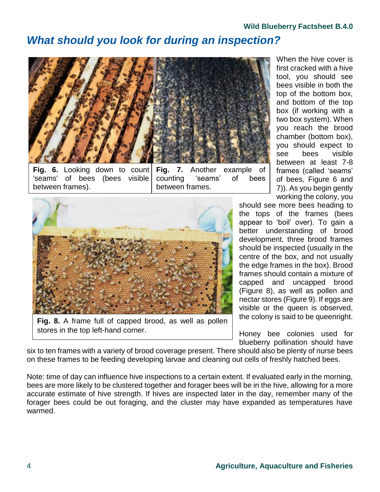### *What should you look for during an inspection?*



**Fig. 6.** Looking down to count 'seams' of bees (bees visible between frames).

**Fig. 7.** Another example of counting 'seams' of bees between frames.



stores in the top left-hand corner.

When the hive cover is first cracked with a hive tool, you should see bees visible in both the top of the bottom box, and bottom of the top box (if working with a two box system). When you reach the brood chamber (bottom box), you should expect to see bees visible between at least 7-8 frames (called 'seams' of bees, Figure 6 and 7)). As you begin gently working the colony, you

should see more bees heading to the tops of the frames (bees appear to 'boil' over). To gain a better understanding of brood development, three brood frames should be inspected (usually in the centre of the box, and not usually the edge frames in the box). Brood frames should contain a mixture of capped and uncapped brood (Figure 8), as well as pollen and nectar stores (Figure 9). If eggs are visible or the queen is observed, the colony is said to be queenright.

Honey bee colonies used for blueberry pollination should have

six to ten frames with a variety of brood coverage present. There should also be plenty of nurse bees on these frames to be feeding developing larvae and cleaning out cells of freshly hatched bees.

Note: time of day can influence hive inspections to a certain extent. If evaluated early in the morning, bees are more likely to be clustered together and forager bees will be in the hive, allowing for a more accurate estimate of hive strength. If hives are inspected later in the day, remember many of the forager bees could be out foraging, and the cluster may have expanded as temperatures have warmed.